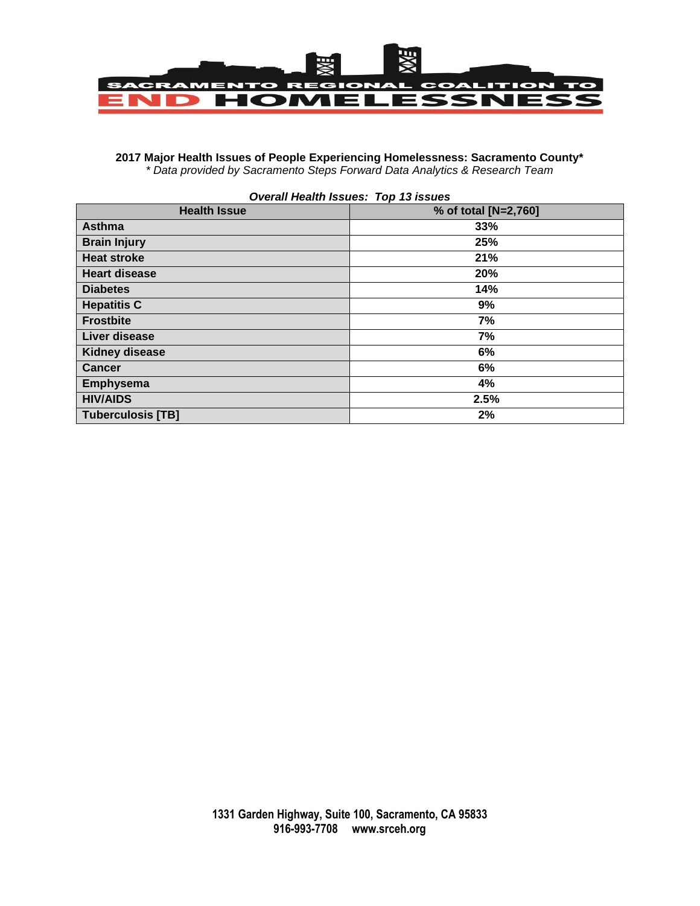

## **2017 Major Health Issues of People Experiencing Homelessness: Sacramento County\*** *\* Data provided by Sacramento Steps Forward Data Analytics & Research Team*

| <b>Overall Health Issues: Top 13 issues</b> |                      |  |  |  |  |
|---------------------------------------------|----------------------|--|--|--|--|
| <b>Health Issue</b>                         | % of total [N=2,760] |  |  |  |  |
| <b>Asthma</b>                               | 33%                  |  |  |  |  |
| <b>Brain Injury</b>                         | 25%                  |  |  |  |  |
| <b>Heat stroke</b>                          | 21%                  |  |  |  |  |
| <b>Heart disease</b>                        | 20%                  |  |  |  |  |
| <b>Diabetes</b>                             | 14%                  |  |  |  |  |
| <b>Hepatitis C</b>                          | 9%                   |  |  |  |  |
| <b>Frostbite</b>                            | 7%                   |  |  |  |  |
| Liver disease                               | 7%                   |  |  |  |  |
| <b>Kidney disease</b>                       | 6%                   |  |  |  |  |
| <b>Cancer</b>                               | 6%                   |  |  |  |  |
| Emphysema                                   | 4%                   |  |  |  |  |
| <b>HIV/AIDS</b>                             | 2.5%                 |  |  |  |  |
| <b>Tuberculosis [TB]</b>                    | 2%                   |  |  |  |  |

## **1331 Garden Highway, Suite 100, Sacramento, CA 95833 916-993-7708 www.srceh.org**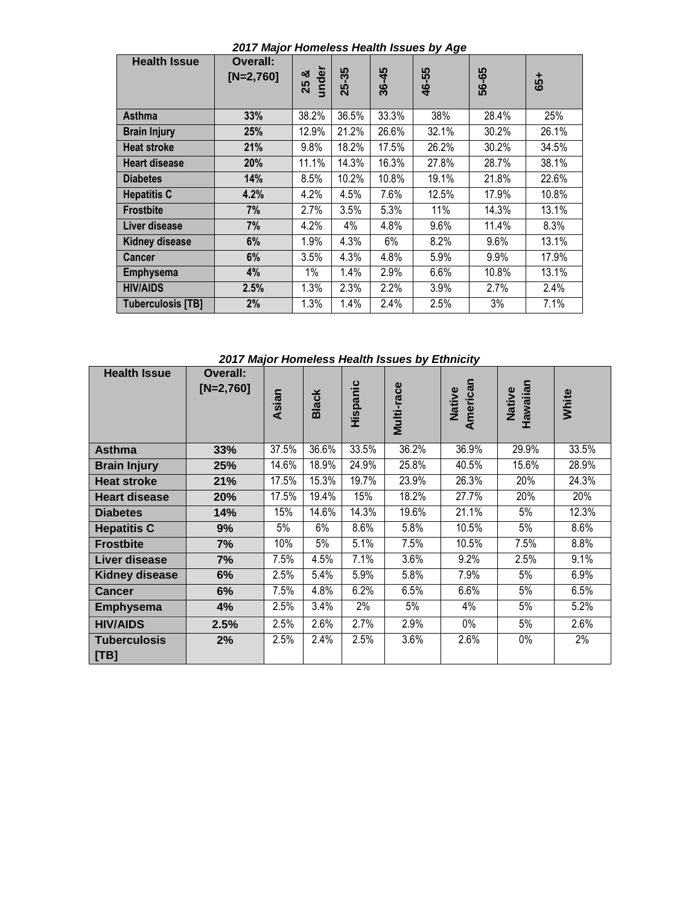| <b>Health Issue</b>      | <b>Overall:</b><br>$[N=2,760]$ | under<br>ೲ<br>25 | 25-35 | 36-45 | 46-55 | 56-65 | 65+   |
|--------------------------|--------------------------------|------------------|-------|-------|-------|-------|-------|
| <b>Asthma</b>            | 33%                            | 38.2%            | 36.5% | 33.3% | 38%   | 28.4% | 25%   |
| <b>Brain Injury</b>      | 25%                            | 12.9%            | 21.2% | 26.6% | 32.1% | 30.2% | 26.1% |
| <b>Heat stroke</b>       | 21%                            | 9.8%             | 18.2% | 17.5% | 26.2% | 30.2% | 34.5% |
| <b>Heart disease</b>     | 20%                            | 11.1%            | 14.3% | 16.3% | 27.8% | 28.7% | 38.1% |
| <b>Diabetes</b>          | 14%                            | 8.5%             | 10.2% | 10.8% | 19.1% | 21.8% | 22.6% |
| <b>Hepatitis C</b>       | 4.2%                           | 4.2%             | 4.5%  | 7.6%  | 12.5% | 17.9% | 10.8% |
| <b>Frostbite</b>         | 7%                             | 2.7%             | 3.5%  | 5.3%  | 11%   | 14.3% | 13.1% |
| Liver disease            | 7%                             | 4.2%             | 4%    | 4.8%  | 9.6%  | 11.4% | 8.3%  |
| <b>Kidney disease</b>    | 6%                             | 1.9%             | 4.3%  | 6%    | 8.2%  | 9.6%  | 13.1% |
| <b>Cancer</b>            | 6%                             | 3.5%             | 4.3%  | 4.8%  | 5.9%  | 9.9%  | 17.9% |
| <b>Emphysema</b>         | 4%                             | 1%               | 1.4%  | 2.9%  | 6.6%  | 10.8% | 13.1% |
| <b>HIV/AIDS</b>          | 2.5%                           | 1.3%             | 2.3%  | 2.2%  | 3.9%  | 2.7%  | 2.4%  |
| <b>Tuberculosis [TB]</b> | 2%                             | 1.3%             | 1.4%  | 2.4%  | 2.5%  | 3%    | 7.1%  |

*2017 Major Homeless Health Issues by Age*

*2017 Major Homeless Health Issues by Ethnicity*

| <b>Health Issue</b>         | <b>Overall:</b><br>$[N=2,760]$ | Asian | <b>Black</b> | Hispanic | <b>Multi-race</b> | American<br>Native | Hawaiian<br>Native | White |
|-----------------------------|--------------------------------|-------|--------------|----------|-------------------|--------------------|--------------------|-------|
| <b>Asthma</b>               | 33%                            | 37.5% | 36.6%        | 33.5%    | 36.2%             | 36.9%              | 29.9%              | 33.5% |
| <b>Brain Injury</b>         | 25%                            | 14.6% | 18.9%        | 24.9%    | 25.8%             | 40.5%              | 15.6%              | 28.9% |
| <b>Heat stroke</b>          | 21%                            | 17.5% | 15.3%        | 19.7%    | 23.9%             | 26.3%              | 20%                | 24.3% |
| <b>Heart disease</b>        | 20%                            | 17.5% | 19.4%        | 15%      | 18.2%             | 27.7%              | 20%                | 20%   |
| <b>Diabetes</b>             | 14%                            | 15%   | 14.6%        | 14.3%    | 19.6%             | 21.1%              | 5%                 | 12.3% |
| <b>Hepatitis C</b>          | 9%                             | 5%    | 6%           | 8.6%     | 5.8%              | 10.5%              | 5%                 | 8.6%  |
| <b>Frostbite</b>            | 7%                             | 10%   | 5%           | 5.1%     | 7.5%              | 10.5%              | 7.5%               | 8.8%  |
| Liver disease               | 7%                             | 7.5%  | 4.5%         | 7.1%     | 3.6%              | 9.2%               | 2.5%               | 9.1%  |
| <b>Kidney disease</b>       | 6%                             | 2.5%  | 5.4%         | 5.9%     | 5.8%              | 7.9%               | 5%                 | 6.9%  |
| <b>Cancer</b>               | 6%                             | 7.5%  | 4.8%         | 6.2%     | 6.5%              | 6.6%               | 5%                 | 6.5%  |
| <b>Emphysema</b>            | 4%                             | 2.5%  | 3.4%         | 2%       | 5%                | 4%                 | 5%                 | 5.2%  |
| <b>HIV/AIDS</b>             | 2.5%                           | 2.5%  | 2.6%         | 2.7%     | 2.9%              | $0\%$              | 5%                 | 2.6%  |
| <b>Tuberculosis</b><br>[TB] | 2%                             | 2.5%  | 2.4%         | 2.5%     | 3.6%              | 2.6%               | $0\%$              | 2%    |